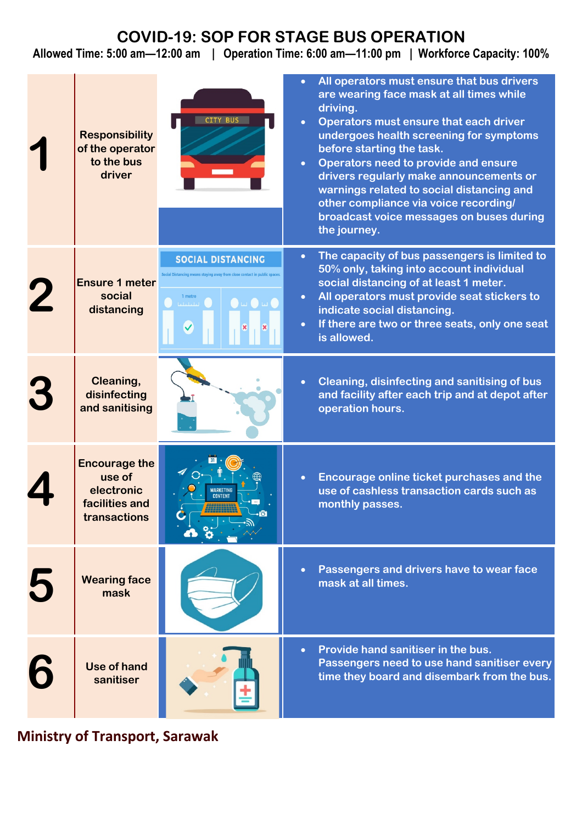## **COVID-19: SOP FOR STAGE BUS OPERATION**

**Allowed Time: 5:00 am—12:00 am | Operation Time: 6:00 am—11:00 pm | Workforce Capacity: 100%**

|   | <b>Responsibility</b><br>of the operator<br>to the bus<br>driver               | CITY BUS                                                                                                                                                                                                                                                                                     | All operators must ensure that bus drivers<br>are wearing face mask at all times while<br>driving.<br>Operators must ensure that each driver<br>$\bullet$<br>undergoes health screening for symptoms<br>before starting the task.<br>Operators need to provide and ensure<br>$\bullet$<br>drivers regularly make announcements or<br>warnings related to social distancing and<br>other compliance via voice recording/<br>broadcast voice messages on buses during<br>the journey. |
|---|--------------------------------------------------------------------------------|----------------------------------------------------------------------------------------------------------------------------------------------------------------------------------------------------------------------------------------------------------------------------------------------|-------------------------------------------------------------------------------------------------------------------------------------------------------------------------------------------------------------------------------------------------------------------------------------------------------------------------------------------------------------------------------------------------------------------------------------------------------------------------------------|
|   | <b>Ensure 1 meter</b><br>social<br>distancing                                  | <b>SOCIAL DISTANCING</b><br>g means staving away from close contact in public spaces.<br>1 metre<br>$\bullet \hspace{1.75mm} \textcolor{red}{\bullet} \hspace{1.75mm} \textcolor{red}{\bullet} \hspace{1.75mm} \textcolor{red}{\bullet} \hspace{1.75mm} \textcolor{red}{\bullet}$<br>لتلتبان | The capacity of bus passengers is limited to<br>$\bullet$<br>50% only, taking into account individual<br>social distancing of at least 1 meter.<br>All operators must provide seat stickers to<br>$\bullet$<br>indicate social distancing.<br>If there are two or three seats, only one seat<br>is allowed.                                                                                                                                                                         |
| 3 | Cleaning,<br>disinfecting<br>and sanitising                                    |                                                                                                                                                                                                                                                                                              | Cleaning, disinfecting and sanitising of bus<br>and facility after each trip and at depot after<br>operation hours.                                                                                                                                                                                                                                                                                                                                                                 |
|   | <b>Encourage the</b><br>use of<br>electronic<br>facilities and<br>transactions | <b>IARKETING</b><br><b>CONTENT</b><br>$\cdot$ ō                                                                                                                                                                                                                                              | Encourage online ticket purchases and the<br>use of cashless transaction cards such as<br>monthly passes.                                                                                                                                                                                                                                                                                                                                                                           |
| 5 | <b>Wearing face</b><br>mask                                                    |                                                                                                                                                                                                                                                                                              | Passengers and drivers have to wear face<br>mask at all times.                                                                                                                                                                                                                                                                                                                                                                                                                      |
|   | Use of hand<br>sanitiser                                                       |                                                                                                                                                                                                                                                                                              | Provide hand sanitiser in the bus.<br>$\bullet$<br>Passengers need to use hand sanitiser every<br>time they board and disembark from the bus.                                                                                                                                                                                                                                                                                                                                       |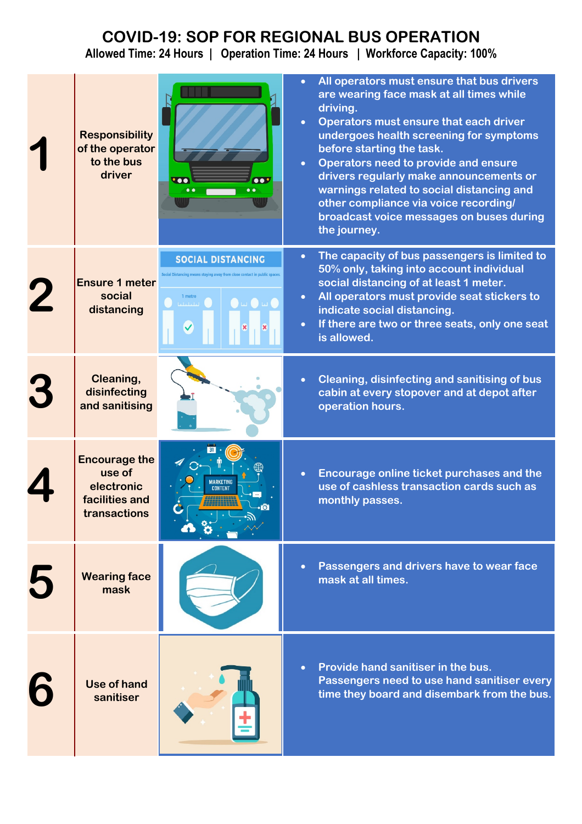# **COVID-19: SOP FOR REGIONAL BUS OPERATION**

**Allowed Time: 24 Hours | Operation Time: 24 Hours | Workforce Capacity: 100%**

| <b>Responsibility</b><br>of the operator<br>to the bus<br>driver               | $\bullet$<br>$\bullet \bullet$<br>$\bullet$                                       | All operators must ensure that bus drivers<br>are wearing face mask at all times while<br>driving.<br>Operators must ensure that each driver<br>undergoes health screening for symptoms<br>before starting the task.<br>Operators need to provide and ensure<br>$\bullet$<br>drivers regularly make announcements or<br>warnings related to social distancing and<br>other compliance via voice recording/<br>broadcast voice messages on buses during<br>the journey. |
|--------------------------------------------------------------------------------|-----------------------------------------------------------------------------------|------------------------------------------------------------------------------------------------------------------------------------------------------------------------------------------------------------------------------------------------------------------------------------------------------------------------------------------------------------------------------------------------------------------------------------------------------------------------|
| <b>Ensure 1 meter</b><br>social<br>distancing                                  | <b>SOCIAL DISTANCING</b><br>1 metre<br>$\bullet \omega \bullet \omega$<br>لتلتليك | The capacity of bus passengers is limited to<br>$\bullet$<br>50% only, taking into account individual<br>social distancing of at least 1 meter.<br>All operators must provide seat stickers to<br>$\bullet$<br>indicate social distancing.<br>If there are two or three seats, only one seat<br>$\bullet$<br>is allowed.                                                                                                                                               |
| Cleaning,<br>disinfecting<br>and sanitising                                    |                                                                                   | Cleaning, disinfecting and sanitising of bus<br>cabin at every stopover and at depot after<br>operation hours.                                                                                                                                                                                                                                                                                                                                                         |
| <b>Encourage the</b><br>use of<br>electronic<br>facilities and<br>transactions | <b>MARKETING</b><br><b>CONTENT</b>                                                | Encourage online ticket purchases and the<br>use of cashless transaction cards such as<br>monthly passes.                                                                                                                                                                                                                                                                                                                                                              |
| <b>Wearing face</b><br>mask                                                    |                                                                                   | Passengers and drivers have to wear face<br>mask at all times.                                                                                                                                                                                                                                                                                                                                                                                                         |
| <b>Use of hand</b><br>sanitiser                                                |                                                                                   | Provide hand sanitiser in the bus.<br>$\bullet$<br>Passengers need to use hand sanitiser every<br>time they board and disembark from the bus.                                                                                                                                                                                                                                                                                                                          |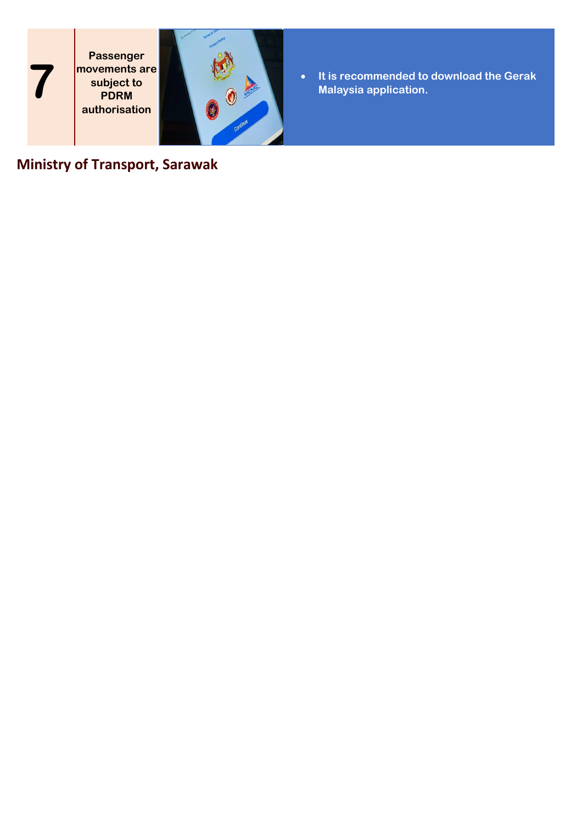**Passenger movements are subject to PDRM authorisation**

**7**



• **It is recommended to download the Gerak Malaysia application.**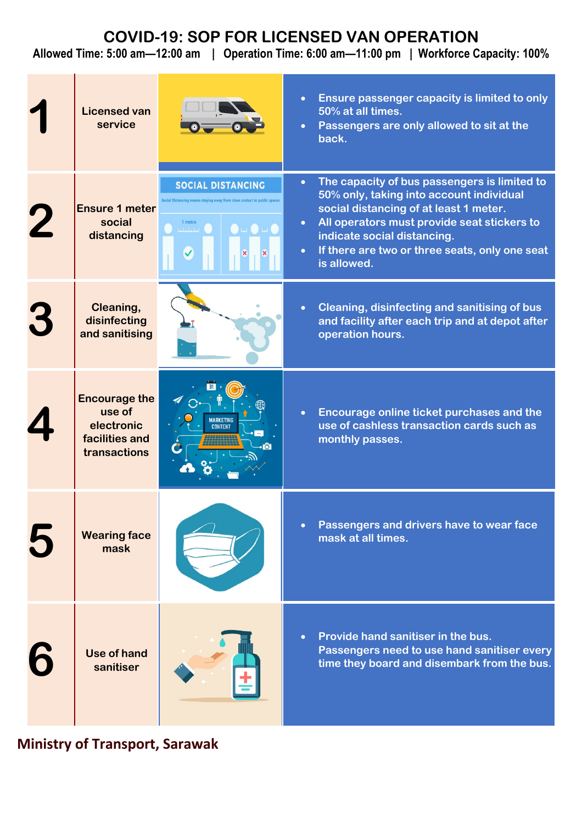## **COVID-19: SOP FOR LICENSED VAN OPERATION**

**Allowed Time: 5:00 am—12:00 am | Operation Time: 6:00 am—11:00 pm | Workforce Capacity: 100%**

|   | <b>Licensed van</b><br>service                                                 |                                                                                                                                                                         | Ensure passenger capacity is limited to only<br>$\bullet$<br>50% at all times.<br>Passengers are only allowed to sit at the<br>$\bullet$<br>back.                                                                                                                                                                        |
|---|--------------------------------------------------------------------------------|-------------------------------------------------------------------------------------------------------------------------------------------------------------------------|--------------------------------------------------------------------------------------------------------------------------------------------------------------------------------------------------------------------------------------------------------------------------------------------------------------------------|
|   | <b>Ensure 1 meter</b><br>social<br>distancing                                  | <b>SOCIAL DISTANCING</b><br>Social Distancing means staying away from close contact in public spaces.<br>1 metre<br>$\bullet$ $\bullet$ $\bullet$ $\bullet$<br>والملماء | The capacity of bus passengers is limited to<br>$\bullet$<br>50% only, taking into account individual<br>social distancing of at least 1 meter.<br>All operators must provide seat stickers to<br>$\bullet$<br>indicate social distancing.<br>If there are two or three seats, only one seat<br>$\bullet$<br>is allowed. |
| 3 | Cleaning,<br>disinfecting<br>and sanitising                                    |                                                                                                                                                                         | Cleaning, disinfecting and sanitising of bus<br>$\bullet$<br>and facility after each trip and at depot after<br>operation hours.                                                                                                                                                                                         |
|   | <b>Encourage the</b><br>use of<br>electronic<br>facilities and<br>transactions | <b>MARKETING</b><br><b>CONTENT</b><br>io.                                                                                                                               | Encourage online ticket purchases and the<br>$\bullet$<br>use of cashless transaction cards such as<br>monthly passes.                                                                                                                                                                                                   |
|   | <b>Wearing face</b><br>mask                                                    |                                                                                                                                                                         | Passengers and drivers have to wear face<br>$\bullet$<br>mask at all times.                                                                                                                                                                                                                                              |
|   | <b>Use of hand</b><br>sanitiser                                                |                                                                                                                                                                         | Provide hand sanitiser in the bus.<br>Passengers need to use hand sanitiser every<br>time they board and disembark from the bus.                                                                                                                                                                                         |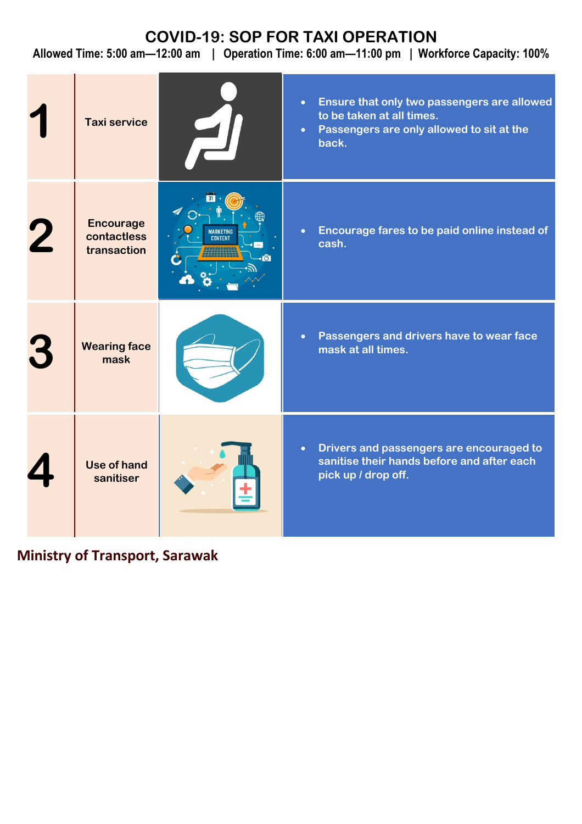## **COVID-19: SOP FOR TAXI OPERATION**

**Allowed Time: 5:00 am—12:00 am | Operation Time: 6:00 am—11:00 pm | Workforce Capacity: 100%**

| <b>Taxi service</b>                            |                                                  | Ensure that only two passengers are allowed<br>$\bullet$<br>to be taken at all times.<br>Passengers are only allowed to sit at the<br>$\bullet$<br>back. |
|------------------------------------------------|--------------------------------------------------|----------------------------------------------------------------------------------------------------------------------------------------------------------|
| <b>Encourage</b><br>contactless<br>transaction | <b>MARKETING</b><br><b>CONTENT</b><br><b>iol</b> | Encourage fares to be paid online instead of<br>$\bullet$<br>cash.                                                                                       |
| <b>Wearing face</b><br>mask                    |                                                  | Passengers and drivers have to wear face<br>$\bullet$<br>mask at all times.                                                                              |
| Use of hand<br>sanitiser                       |                                                  | Drivers and passengers are encouraged to<br>$\bullet$<br>sanitise their hands before and after each<br>pick up / drop off.                               |